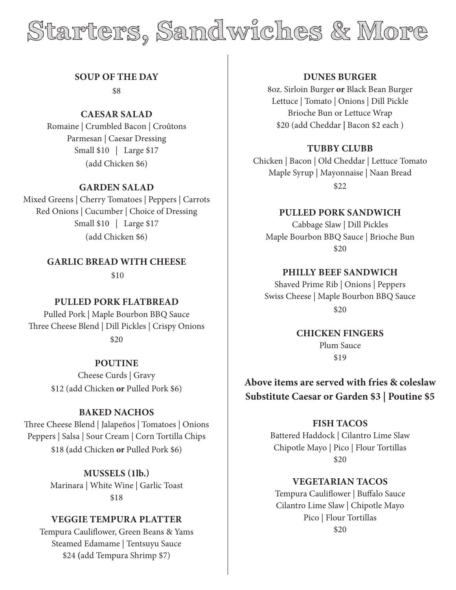# **Starters, Sandwiches & More**

**SOUP OF THE DAY**

\$8

**CAESAR SALAD** Romaine | Crumbled Bacon | Croûtons Parmesan | Caesar Dressing Small \$10 | Large \$17

(add Chicken \$6)

### **GARDEN SALAD**

Mixed Greens | Cherry Tomatoes | Peppers | Carrots Red Onions | Cucumber | Choice of Dressing Small \$10 | Large \$17 (add Chicken \$6)

> **GARLIC BREAD WITH CHEESE** \$10

# **PULLED PORK FLATBREAD**

Pulled Pork | Maple Bourbon BBQ Sauce Three Cheese Blend | Dill Pickles | Crispy Onions \$20

> **POUTINE** Cheese Curds | Gravy \$12 (add Chicken **or** Pulled Pork \$6)

### **BAKED NACHOS**

Three Cheese Blend | Jalapeños | Tomatoes | Onions Peppers | Salsa | Sour Cream | Corn Tortilla Chips \$18 **(**add Chicken **or** Pulled Pork \$6)

> **MUSSELS (1lb.)** Marinara | White Wine | Garlic Toast \$18

# **VEGGIE TEMPURA PLATTER**

Tempura Cauliflower, Green Beans & Yams Steamed Edamame | Tentsuyu Sauce \$24 **(**add Tempura Shrimp \$7)

# **DUNES BURGER**

8oz. Sirloin Burger **or** Black Bean Burger Lettuce | Tomato | Onions | Dill Pickle Brioche Bun or Lettuce Wrap \$20 (add Cheddar **|** Bacon \$2 each )

# **TUBBY CLUBB**

Chicken | Bacon | Old Cheddar | Lettuce Tomato Maple Syrup | Mayonnaise | Naan Bread \$22

# **PULLED PORK SANDWICH**

Cabbage Slaw | Dill Pickles Maple Bourbon BBQ Sauce | Brioche Bun \$20

**PHILLY BEEF SANDWICH**

Shaved Prime Rib | Onions | Peppers Swiss Cheese | Maple Bourbon BBQ Sauce \$20

> **CHICKEN FINGERS** Plum Sauce \$19

# **Above items are served with fries & coleslaw Substitute Caesar or Garden \$3 | Poutine \$5**

# **FISH TACOS**

Battered Haddock | Cilantro Lime Slaw Chipotle Mayo | Pico | Flour Tortillas \$20

### **VEGETARIAN TACOS**

Tempura Cauliflower | Buffalo Sauce Cilantro Lime Slaw | Chipotle Mayo Pico | Flour Tortillas \$20